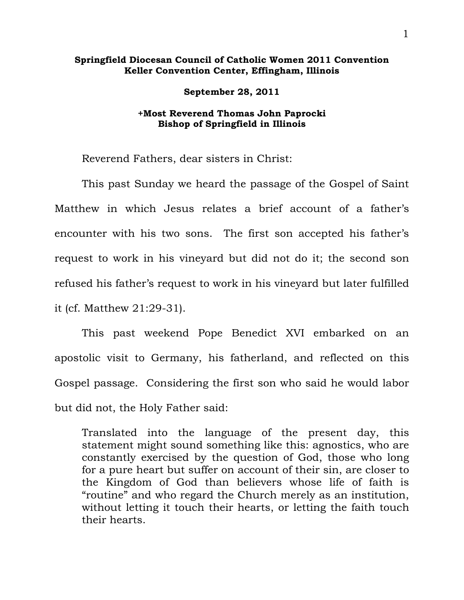## **Springfield Diocesan Council of Catholic Women 2011 Convention Keller Convention Center, Effingham, Illinois**

**September 28, 2011** 

## **+Most Reverend Thomas John Paprocki Bishop of Springfield in Illinois**

Reverend Fathers, dear sisters in Christ:

 This past Sunday we heard the passage of the Gospel of Saint Matthew in which Jesus relates a brief account of a father's encounter with his two sons. The first son accepted his father's request to work in his vineyard but did not do it; the second son refused his father's request to work in his vineyard but later fulfilled it (cf. Matthew 21:29-31).

 This past weekend Pope Benedict XVI embarked on an apostolic visit to Germany, his fatherland, and reflected on this Gospel passage. Considering the first son who said he would labor but did not, the Holy Father said:

Translated into the language of the present day, this statement might sound something like this: agnostics, who are constantly exercised by the question of God, those who long for a pure heart but suffer on account of their sin, are closer to the Kingdom of God than believers whose life of faith is "routine" and who regard the Church merely as an institution, without letting it touch their hearts, or letting the faith touch their hearts.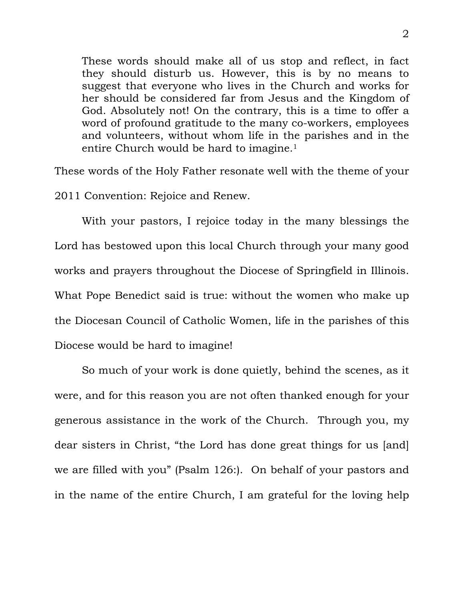These words should make all of us stop and reflect, in fact they should disturb us. However, this is by no means to suggest that everyone who lives in the Church and works for her should be considered far from Jesus and the Kingdom of God. Absolutely not! On the contrary, this is a time to offer a word of profound gratitude to the many co-workers, employees and volunteers, without whom life in the parishes and in the entire Church would be hard to imagine.<sup>1</sup>

These words of the Holy Father resonate well with the theme of your 2011 Convention: Rejoice and Renew.

 With your pastors, I rejoice today in the many blessings the Lord has bestowed upon this local Church through your many good works and prayers throughout the Diocese of Springfield in Illinois. What Pope Benedict said is true: without the women who make up the Diocesan Council of Catholic Women, life in the parishes of this Diocese would be hard to imagine!

 So much of your work is done quietly, behind the scenes, as it were, and for this reason you are not often thanked enough for your generous assistance in the work of the Church. Through you, my dear sisters in Christ, "the Lord has done great things for us [and] we are filled with you" (Psalm 126:). On behalf of your pastors and in the name of the entire Church, I am grateful for the loving help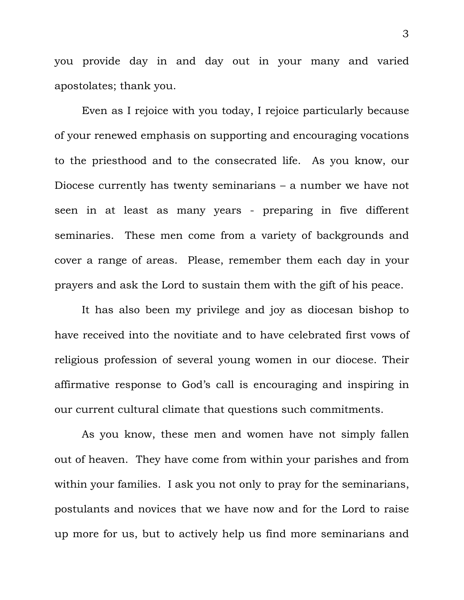you provide day in and day out in your many and varied apostolates; thank you.

 Even as I rejoice with you today, I rejoice particularly because of your renewed emphasis on supporting and encouraging vocations to the priesthood and to the consecrated life. As you know, our Diocese currently has twenty seminarians – a number we have not seen in at least as many years - preparing in five different seminaries. These men come from a variety of backgrounds and cover a range of areas. Please, remember them each day in your prayers and ask the Lord to sustain them with the gift of his peace.

 It has also been my privilege and joy as diocesan bishop to have received into the novitiate and to have celebrated first vows of religious profession of several young women in our diocese. Their affirmative response to God's call is encouraging and inspiring in our current cultural climate that questions such commitments.

As you know, these men and women have not simply fallen out of heaven. They have come from within your parishes and from within your families. I ask you not only to pray for the seminarians, postulants and novices that we have now and for the Lord to raise up more for us, but to actively help us find more seminarians and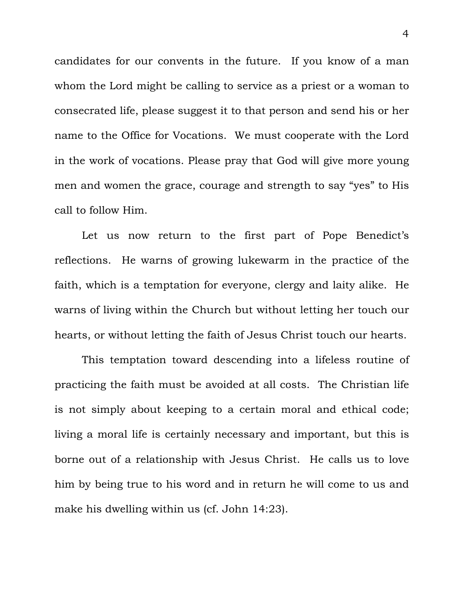candidates for our convents in the future. If you know of a man whom the Lord might be calling to service as a priest or a woman to consecrated life, please suggest it to that person and send his or her name to the Office for Vocations. We must cooperate with the Lord in the work of vocations. Please pray that God will give more young men and women the grace, courage and strength to say "yes" to His call to follow Him.

 Let us now return to the first part of Pope Benedict's reflections. He warns of growing lukewarm in the practice of the faith, which is a temptation for everyone, clergy and laity alike. He warns of living within the Church but without letting her touch our hearts, or without letting the faith of Jesus Christ touch our hearts.

 This temptation toward descending into a lifeless routine of practicing the faith must be avoided at all costs. The Christian life is not simply about keeping to a certain moral and ethical code; living a moral life is certainly necessary and important, but this is borne out of a relationship with Jesus Christ. He calls us to love him by being true to his word and in return he will come to us and make his dwelling within us (cf. John 14:23).